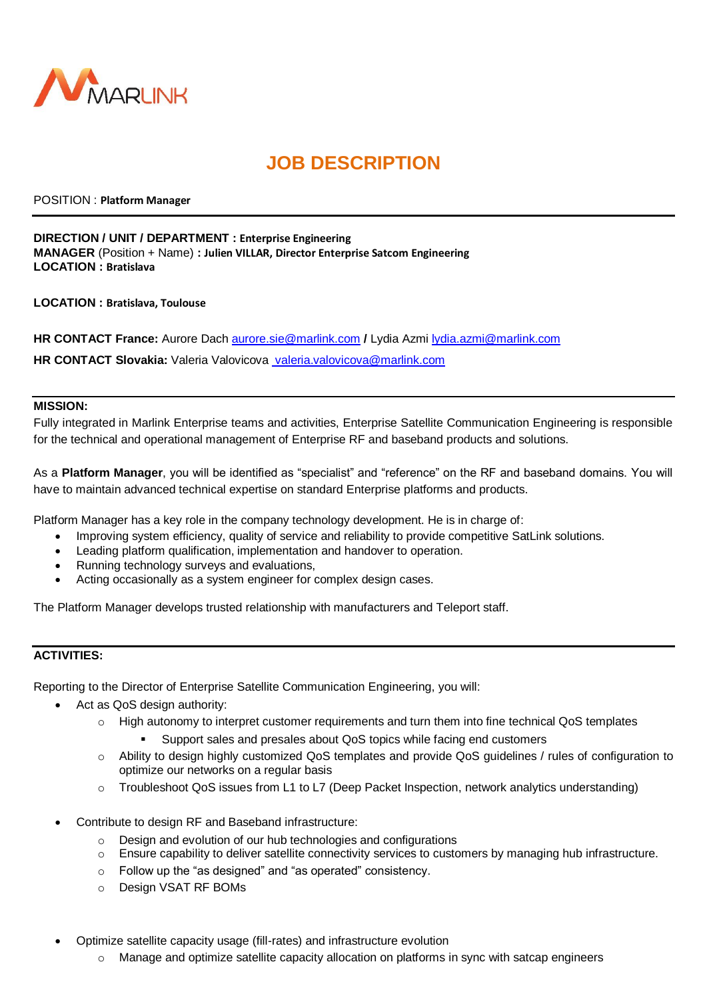

# **JOB DESCRIPTION**

POSITION : **Platform Manager**

#### **DIRECTION / UNIT / DEPARTMENT : Enterprise Engineering**

**MANAGER** (Position + Name) **: Julien VILLAR, Director Enterprise Satcom Engineering LOCATION : Bratislava**

**LOCATION : Bratislava, Toulouse**

**HR CONTACT France:** Aurore Dach [aurore.sie@marlink.com](mailto:aurore.sie@marlink.com) **/** Lydia Azmi [lydia.azmi@marlink.com](mailto:lydia.azmi@marlink.com)

**HR CONTACT Slovakia:** Valeria Valovicova valeria.valovicova@marlink.com

#### **MISSION:**

Fully integrated in Marlink Enterprise teams and activities, Enterprise Satellite Communication Engineering is responsible for the technical and operational management of Enterprise RF and baseband products and solutions.

As a **Platform Manager**, you will be identified as "specialist" and "reference" on the RF and baseband domains. You will have to maintain advanced technical expertise on standard Enterprise platforms and products.

Platform Manager has a key role in the company technology development. He is in charge of:

- Improving system efficiency, quality of service and reliability to provide competitive SatLink solutions.
- Leading platform qualification, implementation and handover to operation.
- Running technology surveys and evaluations,
- Acting occasionally as a system engineer for complex design cases.

The Platform Manager develops trusted relationship with manufacturers and Teleport staff.

### **ACTIVITIES:**

Reporting to the Director of Enterprise Satellite Communication Engineering, you will:

- Act as QoS design authority:
	- o High autonomy to interpret customer requirements and turn them into fine technical QoS templates
		- Support sales and presales about QoS topics while facing end customers
	- o Ability to design highly customized QoS templates and provide QoS guidelines / rules of configuration to optimize our networks on a regular basis
	- o Troubleshoot QoS issues from L1 to L7 (Deep Packet Inspection, network analytics understanding)
- Contribute to design RF and Baseband infrastructure:
	- $\circ$  Design and evolution of our hub technologies and configurations
	- $\circ$  Ensure capability to deliver satellite connectivity services to customers by managing hub infrastructure.
	- o Follow up the "as designed" and "as operated" consistency.
	- o Design VSAT RF BOMs
- Optimize satellite capacity usage (fill-rates) and infrastructure evolution
	- o Manage and optimize satellite capacity allocation on platforms in sync with satcap engineers